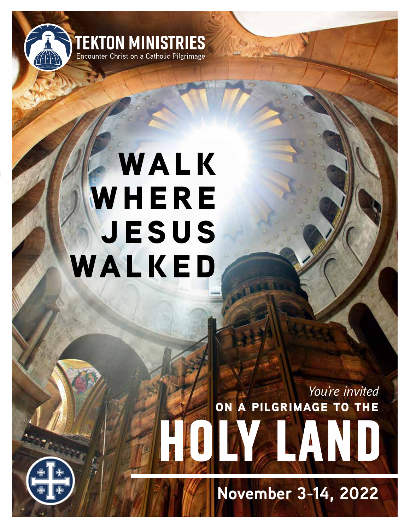

# **walk WHERE jesus walked**

**on a pilgrimage to the** *You're invited*

**HOLY LAND** 

**November 3-14, 2022**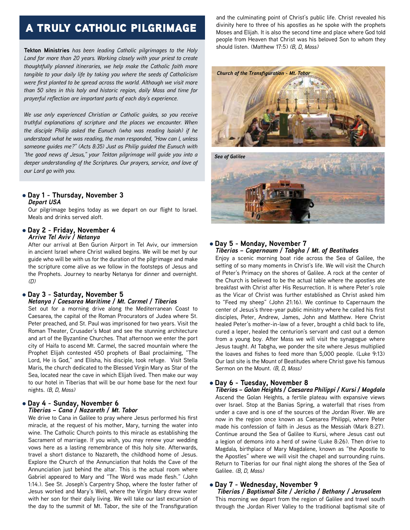# a truly catholic pilgrimage

**Tekton Ministries** *has been leading Catholic pilgrimages to the Holy Land for more than 20 years. Working closely with your priest to create thoughtfully planned itineraries, we help make the Catholic faith more tangible to your daily life by taking you where the seeds of Catholicism were first planted to be spread across the world. Although we visit more than 50 sites in this holy and historic region, daily Mass and time for prayerful reflection are important parts of each day's experience.*

*We use only experienced Christian or Catholic guides, so you receive truthful explanations of scripture and the places we encounter. When the disciple Philip asked the Eunuch (who was reading Isaiah) if he understood what he was reading, the man responded, "How can I, unless someone guides me?" (Acts 8:35) Just as Philip guided the Eunuch with "the good news of Jesus," your Tekton pilgrimage will guide you into a deeper understanding of the Scriptures. Our prayers, service, and love of our Lord go with you.*

#### l **Day 1 - Thursday, November 3** *Depart USA*

Our pilgrimage begins today as we depart on our flight to Israel. Meals and drinks served aloft.

#### l **Day 2 - Friday, November 4** *Arrive Tel Aviv / Netanya*

After our arrival at Ben Gurion Airport in Tel Aviv, our immersion in ancient Israel where Christ walked begins. We will be met by our guide who will be with us for the duration of the pilgrimage and make the scripture come alive as we follow in the footsteps of Jesus and the Prophets. Journey to nearby Netanya for dinner and overnight. *(D)*

## l **Day 3 - Saturday, November 5** *Netanya / Caesarea Maritime / Mt. Carmel / Tiberias*

Set out for a morning drive along the Mediterranean Coast to Caesarea, the capital of the Roman Procurators of Judea where St. Peter preached, and St. Paul was imprisoned for two years. Visit the Roman Theater, Crusader's Moat and see the stunning architecture and art of the Byzantine Churches. That afternoon we enter the port city of Haifa to ascend Mt. Carmel, the sacred mountain where the Prophet Elijah contested 450 prophets of Baal proclaiming, "The Lord, He is God," and Elisha, his disciple, took refuge. Visit Stella Maris, the church dedicated to the Blessed Virgin Mary as Star of the Sea, located near the cave in which Elijah lived. Then make our way to our hotel in Tiberias that will be our home base for the next four nights. *(B, D, Mass)*

## l **Day 4 - Sunday, November 6** *Tiberias – Cana / Nazareth / Mt. Tabor*

We drive to Cana in Galilee to pray where Jesus performed his first miracle, at the request of his mother, Mary, turning the water into wine. The Catholic Church points to this miracle as establishing the Sacrament of marriage. If you wish, you may renew your wedding vows here as a lasting remembrance of this holy site. Afterwards, travel a short distance to Nazareth, the childhood home of Jesus. Explore the Church of the Annunciation that holds the Cave of the Annunciation just behind the altar. This is the actual room where Gabriel appeared to Mary and "The Word was made flesh." (John 1:14.). See St. Joseph's Carpentry Shop, where the foster father of Jesus worked and Mary's Well, where the Virgin Mary drew water with her son for their daily living. We will take our last excursion of the day to the summit of Mt. Tabor, the site of the Transfiguration

and the culminating point of Christ's public life. Christ revealed his divinity here to three of his apostles as he spoke with the prophets Moses and Elijah. It is also the second time and place where God told people from Heaven that Christ was his beloved Son to whom they should listen. (Matthew 17:5) *(B, D, Mass)*





#### l **Day 5 - Monday, November 7** *Tiberias – Capernaum / Tabgha / Mt. of Beatitudes*

Enjoy a scenic morning boat ride across the Sea of Galilee, the setting of so many moments in Christ's life. We will visit the Church of Peter's Primacy on the shores of Galilee. A rock at the center of the Church is believed to be the actual table where the apostles ate breakfast with Christ after His Resurrection. It is where Peter's role as the Vicar of Christ was further established as Christ asked him to "Feed my sheep" (John 21:16). We continue to Capernaum the center of Jesus's three-year public ministry where he called his first disciples, Peter, Andrew, James, John and Matthew. Here Christ healed Peter's mother-in-law of a fever, brought a child back to life, cured a leper, healed the centurion's servant and cast out a demon from a young boy. After Mass we will visit the synagogue where Jesus taught. At Tabgha, we ponder the site where Jesus multiplied the loaves and fishes to feed more than 5,000 people. (Luke 9:13) Our last site is the Mount of Beatitudes where Christ gave his famous Sermon on the Mount. *(B, D, Mass)*

# l **Day 6 - Tuesday, November 8**

*Tiberias – Golan Heights / Caesarea Philippi / Kursi / Magdala* Ascend the Golan Heights, a fertile plateau with expansive views over Israel. Stop at the Banias Spring, a waterfall that rises from under a cave and is one of the sources of the Jordan River. We are now in the region once known as Caesarea Philippi, where Peter made his confession of faith in Jesus as the Messiah (Mark 8:27). Continue around the Sea of Galilee to Kursi, where Jesus cast out a legion of demons into a herd of swine (Luke 8:26). Then drive to Magdala, birthplace of Mary Magdalene, known as "the Apostle to the Apostles" where we will visit the chapel and surrounding ruins. Return to Tiberias for our final night along the shores of the Sea of Galilee. *(B, D, Mass)*

# l **Day 7 - Wednesday, November 9**

 *Tiberias / Baptismal Site / Jericho / Bethany / Jerusalem* This morning we depart from the region of Galilee and travel south through the Jordan River Valley to the traditional baptismal site of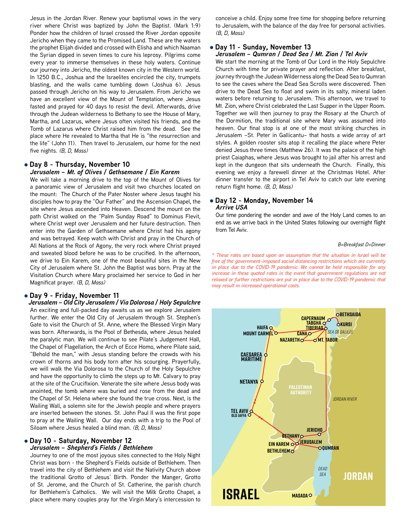Jesus in the Jordan River. Renew your baptismal vows in the very river where Christ was baptized by John the Baptist. (Mark 1:9) Ponder how the children of Israel crossed the River Jordan opposite Jericho when they came to the Promised Land. These are the waters the prophet Elijah divided and crossed with Elisha and which Naaman the Syrian dipped in seven times to cure his leprosy. Pilgrims come every year to immerse themselves in these holy waters. Continue our journey into Jericho, the oldest known city in the Western world. In 1250 B.C., Joshua and the Israelites encircled the city, trumpets blasting, and the walls came tumbling down (Joshua 6). Jesus passed through Jericho on his way to Jerusalem. From Jericho we have an excellent view of the Mount of Temptation, where Jesus fasted and prayed for 40 days to resist the devil. Afterwards, drive through the Judean wilderness to Bethany to see the House of Mary, Martha, and Lazarus, where Jesus often visited his friends, and the Tomb of Lazarus where Christ raised him from the dead. See the place where He revealed to Martha that He is "the resurrection and the life" (John 11). Then travel to Jerusalem, our home for the next five nights. *(B, D, Mass)*

#### **• Day 8 - Thursday, November 10** *Jerusalem – Mt. of Olives / Gethsemane / Ein Karem*

We will take a morning drive to the top of the Mount of Olives for a panoramic view of Jerusalem and visit two churches located on the mount: The Church of the Pater Noster where Jesus taught his disciples how to pray the "Our Father" and the Ascension Chapel, the site where Jesus ascended into Heaven. Descend the mount on the path Christ walked on the "Palm Sunday Road" to Dominus Flevit, where Christ wept over Jerusalem and her future destruction. Then enter into the Garden of Gethsemane where Christ had his agony and was betrayed. Keep watch with Christ and pray in the Church of All Nations at the Rock of Agony, the very rock where Christ prayed and sweated blood before he was to be crucified. In the afternoon, we drive to Ein Karem, one of the most beautiful sites in the New City of Jerusalem where St. John the Baptist was born. Pray at the Visitation Church where Mary proclaimed her service to God in her Magnificat prayer. *(B, D, Mass)*

#### l **Day 9 - Friday, November 11**

*Jerusalem – Old City Jerusalem / Via Dolorosa / Holy Sepulchre* An exciting and full-packed day awaits us as we explore Jerusalem further. We enter the Old City of Jerusalem through St. Stephen's Gate to visit the Church of St. Anne, where the Blessed Virgin Mary was born. Afterwards, is the Pool of Bethesda, where Jesus healed the paralytic man. We will continue to see Pilate's Judgement Hall, the Chapel of Flagellation, the Arch of Ecce Homo, where Pilate said, "Behold the man," with Jesus standing before the crowds with his crown of thorns and his body torn after his scourging. Prayerfully, we will walk the Via Dolorosa to the Church of the Holy Sepulchre and have the opportunity to climb the steps up to Mt. Calvary to pray at the site of the Crucifixion. Venerate the site where Jesus body was anointed, the tomb where was buried and rose from the dead and the Chapel of St. Helena where she found the true cross. Next, is the Wailing Wall, a solemn site for the Jewish people and where prayers are inserted between the stones. St. John Paul II was the first pope to pray at the Wailing Wall. Our day ends with a trip to the Pool of Siloam where Jesus healed a blind man. *(B, D, Mass)*

#### **• Day 10 - Saturday, November 12** *Jerusalem – Shepherd's Fields / Bethlehem*

Journey to one of the most joyous sites connected to the Holy Night Christ was born - the Shepherd's Fields outside of Bethlehem. Then travel into the city of Bethlehem and visit the Nativity Church above the traditional Grotto of Jesus' Birth. Ponder the Manger, Grotto of St. Jerome, and the Church of St. Catherine, the parish church for Bethlehem's Catholics. We will visit the Milk Grotto Chapel, a place where many couples pray for the Virgin Mary's intercession to conceive a child. Enjoy some free time for shopping before returning to Jerusalem, with the balance of the day free for personal activities. *(B, D, Mass)*

#### l **Day 11 - Sunday, November 13**

#### *Jerusalem – Qumran / Dead Sea / Mt. Zion / Tel Aviv*

We start the morning at the Tomb of Our Lord in the Holy Sepulchre Church with time for private prayer and reflection. After breakfast, journey through the Judean Wilderness along the Dead Sea to Qumran to see the caves where the Dead Sea Scrolls were discovered. Then drive to the Dead Sea to float and swim in its salty, mineral laden waters before returning to Jerusalem. This afternoon, we travel to Mt. Zion, where Christ celebrated the Last Supper in the Upper Room. Together we will then journey to pray the Rosary at the Church of the Dormition, the traditional site where Mary was assumed into heaven. Our final stop is at one of the most striking churches in Jerusalem –St. Peter in Gallicantu– that hosts a wide array of art styles. A golden rooster sits atop it recalling the place where Peter denied Jesus three times (Matthew 26). It was the palace of the high priest Caiaphas, where Jesus was brought to jail after his arrest and kept in the dungeon that sits underneath the Church. Finally, this evening we enjoy a farewell dinner at the Christmas Hotel. After dinner transfer to the airport in Tel Aviv to catch our late evening return flight home. *(B, D, Mass)*

#### l **Day 12 - Monday, November 14** *Arrive USA*

Our time pondering the wonder and awe of the Holy Land comes to an end as we arrive back in the United States following our overnight flight from Tel Aviv.

#### *B=Breakfast D=Dinner*

increase in these quoted rates in the event that government regulations are not<br>relaxed or further restrictions are put in place due to the COVID-19 pandemic that free of the government-imposed social distancing restrictions which are currently in place due to the COVID-19 pandemic. We cannot be held responsible for any *\* These rates are based upon an assumption that the situation in Israel will be in place due to the COVID-19 pandemic. We cannot be held responsible for any increase in these quoted rates in the event that government regulations are not may result in increased operational costs.*